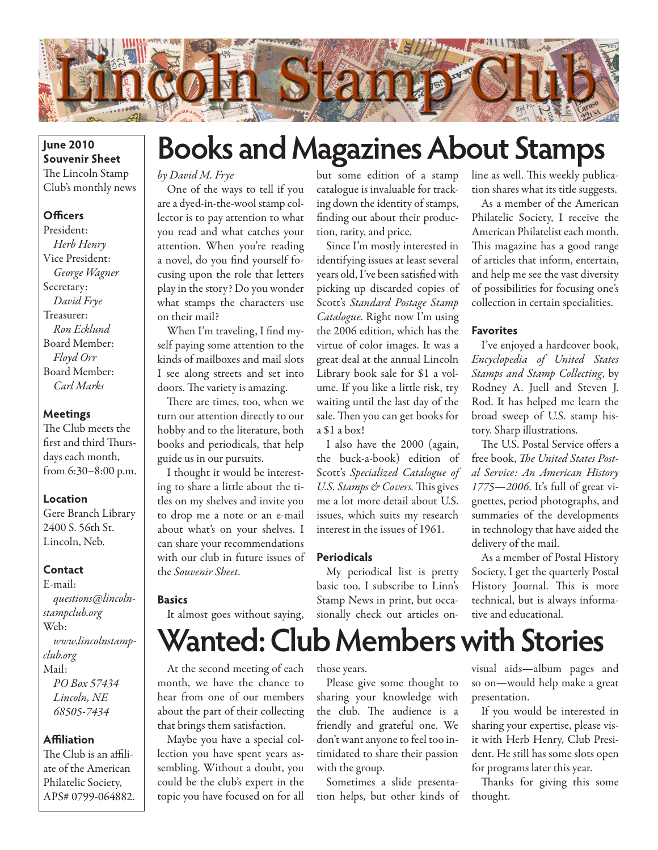

#### **June 2010 Souvenir Sheet** The Lincoln Stamp Club's monthly news

#### **Officers**

President: *Herb Henry* Vice President: *George Wagner* Secretary: *David Frye* Treasurer: *Ron Ecklund* Board Member: *Floyd Orr* Board Member: *Carl Marks*

#### **Meetings**

The Club meets the first and third Thursdays each month, from 6:30–8:00 p.m.

#### **Location**

Gere Branch Library 2400 S. 56th St. Lincoln, Neb.

#### **Contact**

E-mail: *questions@lincolnstampclub.org* Web: *www.lincolnstampclub.org* Mail: *PO Box 57434 Lincoln, NE 68505-7434*

#### **Affiliation**

The Club is an affiliate of the American Philatelic Society, APS# 0799-064882.

## **Books and Magazines About Stamps**

#### *by David M. Frye*

One of the ways to tell if you are a dyed-in-the-wool stamp collector is to pay attention to what you read and what catches your attention. When you're reading a novel, do you find yourself focusing upon the role that letters play in the story? Do you wonder what stamps the characters use on their mail?

When I'm traveling, I find myself paying some attention to the kinds of mailboxes and mail slots I see along streets and set into doors. The variety is amazing.

There are times, too, when we turn our attention directly to our hobby and to the literature, both books and periodicals, that help guide us in our pursuits.

I thought it would be interesting to share a little about the titles on my shelves and invite you to drop me a note or an e-mail about what's on your shelves. I can share your recommendations with our club in future issues of the *Souvenir Sheet*.

#### **Basics**

It almost goes without saying,

#### but some edition of a stamp catalogue is invaluable for tracking down the identity of stamps, finding out about their production, rarity, and price.

Since I'm mostly interested in identifying issues at least several years old, I've been satisfied with picking up discarded copies of Scott's *Standard Postage Stamp Catalogue*. Right now I'm using the 2006 edition, which has the virtue of color images. It was a great deal at the annual Lincoln Library book sale for \$1 a volume. If you like a little risk, try waiting until the last day of the sale. Then you can get books for a \$1 a box!

I also have the 2000 (again, the buck-a-book) edition of Scott's *Specialized Catalogue of U.S. Stamps & Covers.* This gives me a lot more detail about U.S. issues, which suits my research interest in the issues of 1961.

#### **Periodicals**

My periodical list is pretty basic too. I subscribe to Linn's Stamp News in print, but occasionally check out articles online as well. This weekly publication shares what its title suggests.

As a member of the American Philatelic Society, I receive the American Philatelist each month. This magazine has a good range of articles that inform, entertain, and help me see the vast diversity of possibilities for focusing one's collection in certain specialities.

#### **Favorites**

I've enjoyed a hardcover book, *Encyclopedia of United States Stamps and Stamp Collecting*, by Rodney A. Juell and Steven J. Rod. It has helped me learn the broad sweep of U.S. stamp history. Sharp illustrations.

The U.S. Postal Service offers a free book, *The United States Postal Service: An American History 1775—2006*. It's full of great vignettes, period photographs, and summaries of the developments in technology that have aided the delivery of the mail.

As a member of Postal History Society, I get the quarterly Postal History Journal. This is more technical, but is always informative and educational.

**Wanted: Club Members with Stories**

At the second meeting of each month, we have the chance to hear from one of our members about the part of their collecting that brings them satisfaction.

Maybe you have a special collection you have spent years assembling. Without a doubt, you could be the club's expert in the topic you have focused on for all

those years.

Please give some thought to sharing your knowledge with the club. The audience is a friendly and grateful one. We don't want anyone to feel too intimidated to share their passion with the group.

Sometimes a slide presentation helps, but other kinds of visual aids—album pages and so on—would help make a great presentation.

If you would be interested in sharing your expertise, please visit with Herb Henry, Club President. He still has some slots open for programs later this year.

Thanks for giving this some thought.